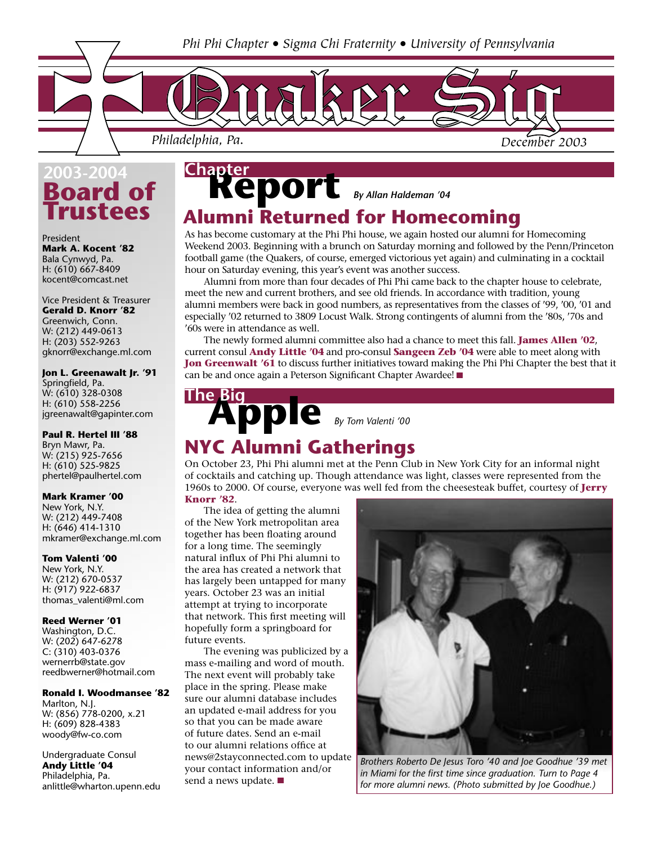

## **bard of Trustees 2003-2004**

President **Mark A. Kocent '82** Bala Cynwyd, Pa. H: (610) 667-8409 kocent@comcast.net

Vice President & Treasurer **Gerald D. Knorr '82** Greenwich, Conn. W: (212) 449-0613 H: (203) 552-9263 gknorr@exchange.ml.com

**Jon L. Greenawalt Jr. '91** Springfield, Pa. W: (610) 328-0308 H: (610) 558-2256 jgreenawalt@gapinter.com

## **Paul R. Hertel III '88**

Bryn Mawr, Pa. W: (215) 925-7656 H: (610) 525-9825 phertel@paulhertel.com

## **Mark Kramer '00**

New York, N.Y. W: (212) 449-7408 H: (646) 414-1310 mkramer@exchange.ml.com

**Tom Valenti '00** New York, N.Y. W: (212) 670-0537 H: (917) 922-6837 thomas\_valenti@ml.com

## **Reed Werner '01**

Washington, D.C. W: (202) 647-6278 C: (310) 403-0376 wernerrb@state.gov reedbwerner@hotmail.com

## **Ronald I. Woodmansee '82**

Marlton, N.J. W: (856) 778-0200, x.21 H: (609) 828-4383 woody@fw-co.com

Undergraduate Consul **Andy Little '04** Philadelphia, Pa. anlittle@wharton.upenn.edu

## **Report** *By Allan Haldeman '04* **Chapter Alumni Returned for Homecoming**

As has become customary at the Phi Phi house, we again hosted our alumni for Homecoming Weekend 2003. Beginning with a brunch on Saturday morning and followed by the Penn/Princeton football game (the Quakers, of course, emerged victorious yet again) and culminating in a cocktail hour on Saturday evening, this year's event was another success.

 Alumni from more than four decades of Phi Phi came back to the chapter house to celebrate, meet the new and current brothers, and see old friends. In accordance with tradition, young alumni members were back in good numbers, as representatives from the classes of '99, '00, '01 and especially '02 returned to 3809 Locust Walk. Strong contingents of alumni from the '80s, '70s and '60s were in attendance as well.

 The newly formed alumni committee also had a chance to meet this fall. **James Allen '02**, current consul **Andy Little '04** and pro-consul **Sangeen Zeb '04** were able to meet along with **Jon Greenwalt '61** to discuss further initiatives toward making the Phi Phi Chapter the best that it can be and once again a Peterson Significant Chapter Awardee!

# **Apple** *By Tom Valenti '00* **The Big**

## **NYC Alumni Gatherings**

On October 23, Phi Phi alumni met at the Penn Club in New York City for an informal night of cocktails and catching up. Though attendance was light, classes were represented from the 1960s to 2000. Of course, everyone was well fed from the cheesesteak buffet, courtesy of **Jerry** 

## **Knorr '82**.

 The idea of getting the alumni of the New York metropolitan area together has been floating around for a long time. The seemingly natural influx of Phi Phi alumni to the area has created a network that has largely been untapped for many years. October 23 was an initial attempt at trying to incorporate that network. This first meeting will hopefully form a springboard for future events.

 The evening was publicized by a mass e-mailing and word of mouth. The next event will probably take place in the spring. Please make sure our alumni database includes an updated e-mail address for you so that you can be made aware of future dates. Send an e-mail to our alumni relations office at news@2stayconnected.com to update your contact information and/or send a news update.



*Brothers Roberto De Jesus Toro '40 and Joe Goodhue '39 met in Miami for the first time since graduation. Turn to Page 4 for more alumni news. (Photo submitted by Joe Goodhue.)*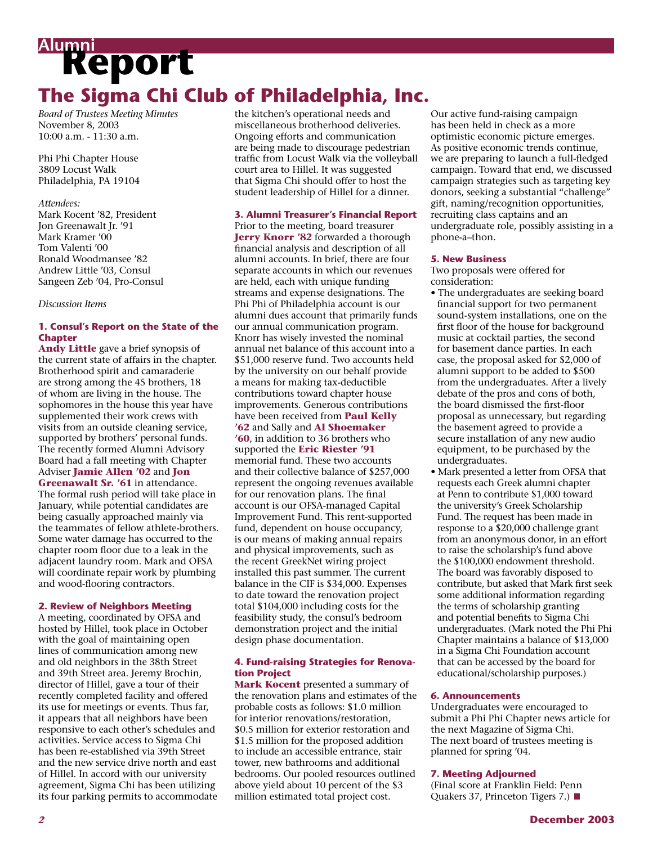# **Report Alumni The Sigma Chi Club of Philadelphia, Inc.**

*Board of Trustees Meeting Minutes* November 8, 2003 10:00 a.m. - 11:30 a.m.

Phi Phi Chapter House 3809 Locust Walk Philadelphia, PA 19104

## *Attendees:*

Mark Kocent '82, President Jon Greenawalt Jr. '91 Mark Kramer '00 Tom Valenti '00 Ronald Woodmansee '82 Andrew Little '03, Consul Sangeen Zeb '04, Pro-Consul

## *Discussion Items*

## **1. Consul's Report on the State of the Chapter**

**Andy Little** gave a brief synopsis of the current state of affairs in the chapter. Brotherhood spirit and camaraderie are strong among the 45 brothers, 18 of whom are living in the house. The sophomores in the house this year have supplemented their work crews with visits from an outside cleaning service, supported by brothers' personal funds. The recently formed Alumni Advisory Board had a fall meeting with Chapter Adviser **Jamie Allen '02** and **Jon Greenawalt Sr. '61** in attendance. The formal rush period will take place in January, while potential candidates are being casually approached mainly via the teammates of fellow athlete-brothers. Some water damage has occurred to the chapter room floor due to a leak in the adjacent laundry room. Mark and OFSA will coordinate repair work by plumbing and wood-flooring contractors.

## **2. Review of Neighbors Meeting**

A meeting, coordinated by OFSA and hosted by Hillel, took place in October with the goal of maintaining open lines of communication among new and old neighbors in the 38th Street and 39th Street area. Jeremy Brochin, director of Hillel, gave a tour of their recently completed facility and offered its use for meetings or events. Thus far, it appears that all neighbors have been responsive to each other's schedules and activities. Service access to Sigma Chi has been re-established via 39th Street and the new service drive north and east of Hillel. In accord with our university agreement, Sigma Chi has been utilizing its four parking permits to accommodate the kitchen's operational needs and miscellaneous brotherhood deliveries. Ongoing efforts and communication are being made to discourage pedestrian traffic from Locust Walk via the volleyball court area to Hillel. It was suggested that Sigma Chi should offer to host the student leadership of Hillel for a dinner.

## **3. Alumni Treasurer's Financial Report**

Prior to the meeting, board treasurer **Jerry Knorr '82** forwarded a thorough financial analysis and description of all alumni accounts. In brief, there are four separate accounts in which our revenues are held, each with unique funding streams and expense designations. The Phi Phi of Philadelphia account is our alumni dues account that primarily funds our annual communication program. Knorr has wisely invested the nominal annual net balance of this account into a \$51,000 reserve fund. Two accounts held by the university on our behalf provide a means for making tax-deductible contributions toward chapter house improvements. Generous contributions have been received from **Paul Kelly '62** and Sally and **Al Shoemaker '60**, in addition to 36 brothers who supported the **Eric Riester '91** memorial fund. These two accounts and their collective balance of \$257,000 represent the ongoing revenues available for our renovation plans. The final account is our OFSA-managed Capital Improvement Fund. This rent-supported fund, dependent on house occupancy, is our means of making annual repairs and physical improvements, such as the recent GreekNet wiring project installed this past summer. The current balance in the CIF is \$34,000. Expenses to date toward the renovation project total \$104,000 including costs for the feasibility study, the consul's bedroom demonstration project and the initial design phase documentation.

## **4. Fund-raising Strategies for Renovation Project**

**Mark Kocent** presented a summary of the renovation plans and estimates of the probable costs as follows: \$1.0 million for interior renovations/restoration, \$0.5 million for exterior restoration and \$1.5 million for the proposed addition to include an accessible entrance, stair tower, new bathrooms and additional bedrooms. Our pooled resources outlined above yield about 10 percent of the \$3 million estimated total project cost.

Our active fund-raising campaign has been held in check as a more optimistic economic picture emerges. As positive economic trends continue, we are preparing to launch a full-fledged campaign. Toward that end, we discussed campaign strategies such as targeting key donors, seeking a substantial "challenge" gift, naming/recognition opportunities, recruiting class captains and an undergraduate role, possibly assisting in a phone-a–thon.

## **5. New Business**

Two proposals were offered for consideration:

- The undergraduates are seeking board financial support for two permanent sound-system installations, one on the first floor of the house for background music at cocktail parties, the second for basement dance parties. In each case, the proposal asked for \$2,000 of alumni support to be added to \$500 from the undergraduates. After a lively debate of the pros and cons of both, the board dismissed the first-floor proposal as unnecessary, but regarding the basement agreed to provide a secure installation of any new audio equipment, to be purchased by the undergraduates.
- Mark presented a letter from OFSA that requests each Greek alumni chapter at Penn to contribute \$1,000 toward the university's Greek Scholarship Fund. The request has been made in response to a \$20,000 challenge grant from an anonymous donor, in an effort to raise the scholarship's fund above the \$100,000 endowment threshold. The board was favorably disposed to contribute, but asked that Mark first seek some additional information regarding the terms of scholarship granting and potential benefits to Sigma Chi undergraduates. (Mark noted the Phi Phi Chapter maintains a balance of \$13,000 in a Sigma Chi Foundation account that can be accessed by the board for educational/scholarship purposes.)

## **6. Announcements**

Undergraduates were encouraged to submit a Phi Phi Chapter news article for the next Magazine of Sigma Chi. The next board of trustees meeting is planned for spring '04.

## **7. Meeting Adjourned**

(Final score at Franklin Field: Penn Quakers 37, Princeton Tigers 7.) ■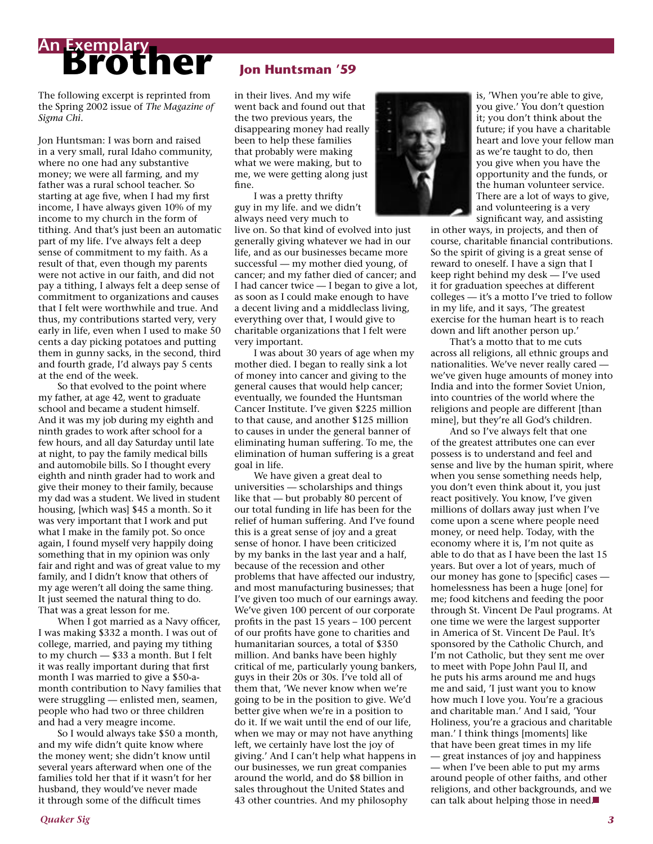# **Brother An Exemplary**

The following excerpt is reprinted from the Spring 2002 issue of *The Magazine of Sigma Chi*.

Jon Huntsman: I was born and raised in a very small, rural Idaho community, where no one had any substantive money; we were all farming, and my father was a rural school teacher. So starting at age five, when I had my first income, I have always given 10% of my income to my church in the form of tithing. And that's just been an automatic part of my life. I've always felt a deep sense of commitment to my faith. As a result of that, even though my parents were not active in our faith, and did not pay a tithing, I always felt a deep sense of commitment to organizations and causes that I felt were worthwhile and true. And thus, my contributions started very, very early in life, even when I used to make 50 cents a day picking potatoes and putting them in gunny sacks, in the second, third and fourth grade, I'd always pay 5 cents at the end of the week.

 So that evolved to the point where my father, at age 42, went to graduate school and became a student himself. And it was my job during my eighth and ninth grades to work after school for a few hours, and all day Saturday until late at night, to pay the family medical bills and automobile bills. So I thought every eighth and ninth grader had to work and give their money to their family, because my dad was a student. We lived in student housing, [which was] \$45 a month. So it was very important that I work and put what I make in the family pot. So once again, I found myself very happily doing something that in my opinion was only fair and right and was of great value to my family, and I didn't know that others of my age weren't all doing the same thing. It just seemed the natural thing to do. That was a great lesson for me.

 When I got married as a Navy officer, I was making \$332 a month. I was out of college, married, and paying my tithing to my church — \$33 a month. But I felt it was really important during that first month I was married to give a \$50-amonth contribution to Navy families that were struggling — enlisted men, seamen, people who had two or three children and had a very meagre income.

 So I would always take \$50 a month, and my wife didn't quite know where the money went; she didn't know until several years afterward when one of the families told her that if it wasn't for her husband, they would've never made it through some of the difficult times

## **Jon Huntsman '59**

in their lives. And my wife went back and found out that the two previous years, the disappearing money had really been to help these families that probably were making what we were making, but to me, we were getting along just fine.

 I was a pretty thrifty guy in my life. and we didn't always need very much to

live on. So that kind of evolved into just generally giving whatever we had in our life, and as our businesses became more successful — my mother died young, of cancer; and my father died of cancer; and I had cancer twice — I began to give a lot, as soon as I could make enough to have a decent living and a middleclass living, everything over that, I would give to charitable organizations that I felt were very important.

 I was about 30 years of age when my mother died. I began to really sink a lot of money into cancer and giving to the general causes that would help cancer; eventually, we founded the Huntsman Cancer Institute. I've given \$225 million to that cause, and another \$125 million to causes in under the general banner of eliminating human suffering. To me, the elimination of human suffering is a great goal in life.

 We have given a great deal to universities — scholarships and things like that — but probably 80 percent of our total funding in life has been for the relief of human suffering. And I've found this is a great sense of joy and a great sense of honor. I have been criticized by my banks in the last year and a half, because of the recession and other problems that have affected our industry, and most manufacturing businesses; that I've given too much of our earnings away. We've given 100 percent of our corporate profits in the past 15 years – 100 percent of our profits have gone to charities and humanitarian sources, a total of \$350 million. And banks have been highly critical of me, particularly young bankers, guys in their 20s or 30s. I've told all of them that, 'We never know when we're going to be in the position to give. We'd better give when we're in a position to do it. If we wait until the end of our life, when we may or may not have anything left, we certainly have lost the joy of giving.' And I can't help what happens in our businesses, we run great companies around the world, and do \$8 billion in sales throughout the United States and 43 other countries. And my philosophy



is, 'When you're able to give, you give.' You don't question it; you don't think about the future; if you have a charitable heart and love your fellow man as we're taught to do, then you give when you have the opportunity and the funds, or the human volunteer service. There are a lot of ways to give, and volunteering is a very significant way, and assisting

in other ways, in projects, and then of course, charitable financial contributions. So the spirit of giving is a great sense of reward to oneself. I have a sign that I keep right behind my desk — I've used it for graduation speeches at different colleges — it's a motto I've tried to follow in my life, and it says, 'The greatest exercise for the human heart is to reach down and lift another person up.'

 That's a motto that to me cuts across all religions, all ethnic groups and nationalities. We've never really cared we've given huge amounts of money into India and into the former Soviet Union, into countries of the world where the religions and people are different [than mine], but they're all God's children.

 And so I've always felt that one of the greatest attributes one can ever possess is to understand and feel and sense and live by the human spirit, where when you sense something needs help, you don't even think about it, you just react positively. You know, I've given millions of dollars away just when I've come upon a scene where people need money, or need help. Today, with the economy where it is, I'm not quite as able to do that as I have been the last 15 years. But over a lot of years, much of our money has gone to [specific] cases homelessness has been a huge [one] for me; food kitchens and feeding the poor through St. Vincent De Paul programs. At one time we were the largest supporter in America of St. Vincent De Paul. It's sponsored by the Catholic Church, and I'm not Catholic, but they sent me over to meet with Pope John Paul II, and he puts his arms around me and hugs me and said, 'I just want you to know how much I love you. You're a gracious and charitable man.' And I said, 'Your Holiness, you're a gracious and charitable man.' I think things [moments] like that have been great times in my life — great instances of joy and happiness — when I've been able to put my arms around people of other faiths, and other religions, and other backgrounds, and we can talk about helping those in need.